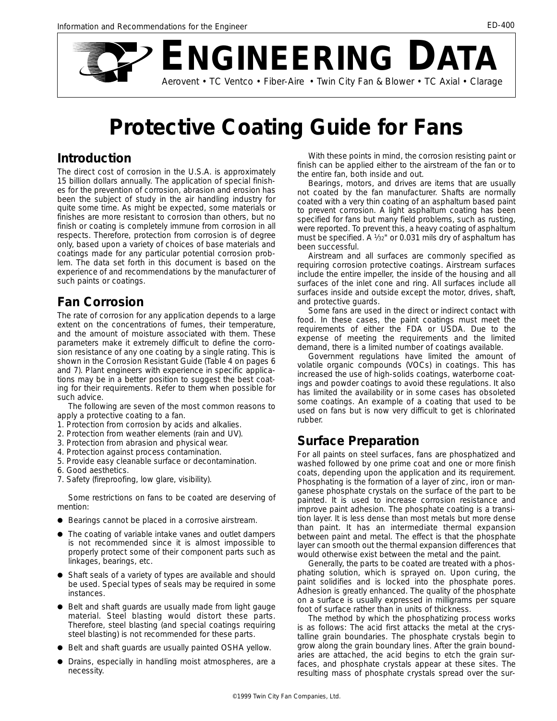

# **Protective Coating Guide for Fans**

#### **Introduction**

The direct cost of corrosion in the U.S.A. is approximately 15 billion dollars annually. The application of special finishes for the prevention of corrosion, abrasion and erosion has been the subject of study in the air handling industry for quite some time. As might be expected, some materials or finishes are more resistant to corrosion than others, but no finish or coating is completely immune from corrosion in all respects. Therefore, protection from corrosion is of degree only, based upon a variety of choices of base materials and coatings made for any particular potential corrosion problem. The data set forth in this document is based on the experience of and recommendations by the manufacturer of such paints or coatings.

#### **Fan Corrosion**

The rate of corrosion for any application depends to a large extent on the concentrations of fumes, their temperature, and the amount of moisture associated with them. These parameters make it extremely difficult to define the corrosion resistance of any one coating by a single rating. This is shown in the Corrosion Resistant Guide (Table 4 on pages 6 and 7). Plant engineers with experience in specific applications may be in a better position to suggest the best coating for their requirements. Refer to them when possible for such advice.

The following are seven of the most common reasons to apply a protective coating to a fan.

- 1. Protection from corrosion by acids and alkalies.
- 2. Protection from weather elements (rain and UV).
- 3. Protection from abrasion and physical wear.
- 4. Protection against process contamination.
- 5. Provide easy cleanable surface or decontamination.
- 6. Good aesthetics.
- 7. Safety (fireproofing, low glare, visibility).

Some restrictions on fans to be coated are deserving of mention:

- Bearings cannot be placed in a corrosive airstream.
- The coating of variable intake vanes and outlet dampers is not recommended since it is almost impossible to properly protect some of their component parts such as linkages, bearings, etc.
- Shaft seals of a variety of types are available and should be used. Special types of seals may be required in some instances.
- Belt and shaft guards are usually made from light gauge material. Steel blasting would distort these parts. Therefore, steel blasting (and special coatings requiring steel blasting) is not recommended for these parts.
- Belt and shaft guards are usually painted OSHA yellow.
- Drains, especially in handling moist atmospheres, are a necessity.

With these points in mind, the corrosion resisting paint or finish can be applied either to the airstream of the fan or to the entire fan, both inside and out.

Bearings, motors, and drives are items that are usually not coated by the fan manufacturer. Shafts are normally coated with a very thin coating of an asphaltum based paint to prevent corrosion. A light asphaltum coating has been specified for fans but many field problems, such as rusting, were reported. To prevent this, a heavy coating of asphaltum must be specified. A  $\frac{1}{32}$ " or 0.031 mils dry of asphaltum has been successful.

*Airstream* and *all surfaces* are commonly specified as requiring corrosion protective coatings. *Airstream* surfaces include the entire impeller, the inside of the housing and all surfaces of the inlet cone and ring. *All surfaces* include all surfaces inside and outside except the motor, drives, shaft, and protective guards.

Some fans are used in the direct or indirect contact with food. In these cases, the paint coatings must meet the requirements of either the FDA or USDA. Due to the expense of meeting the requirements and the limited demand, there is a limited number of coatings available.

Government regulations have limited the amount of volatile organic compounds (VOCs) in coatings. This has increased the use of high-solids coatings, waterborne coatings and powder coatings to avoid these regulations. It also has limited the availability or in some cases has obsoleted some coatings. An example of a coating that used to be used on fans but is now very difficult to get is chlorinated rubber.

## **Surface Preparation**

For all paints on steel surfaces, fans are phosphatized and washed followed by one prime coat and one or more finish coats, depending upon the application and its requirement. Phosphating is the formation of a layer of zinc, iron or manganese phosphate crystals on the surface of the part to be painted. It is used to increase corrosion resistance and improve paint adhesion. The phosphate coating is a transition layer. It is less dense than most metals but more dense than paint. It has an intermediate thermal expansion between paint and metal. The effect is that the phosphate layer can smooth out the thermal expansion differences that would otherwise exist between the metal and the paint.

Generally, the parts to be coated are treated with a phosphating solution, which is sprayed on. Upon curing, the paint solidifies and is locked into the phosphate pores. Adhesion is greatly enhanced. The quality of the phosphate on a surface is usually expressed in milligrams per square foot of surface rather than in units of thickness.

The method by which the phosphatizing process works is as follows: The acid first attacks the metal at the crystalline grain boundaries. The phosphate crystals begin to grow along the grain boundary lines. After the grain boundaries are attached, the acid begins to etch the grain surfaces, and phosphate crystals appear at these sites. The resulting mass of phosphate crystals spread over the sur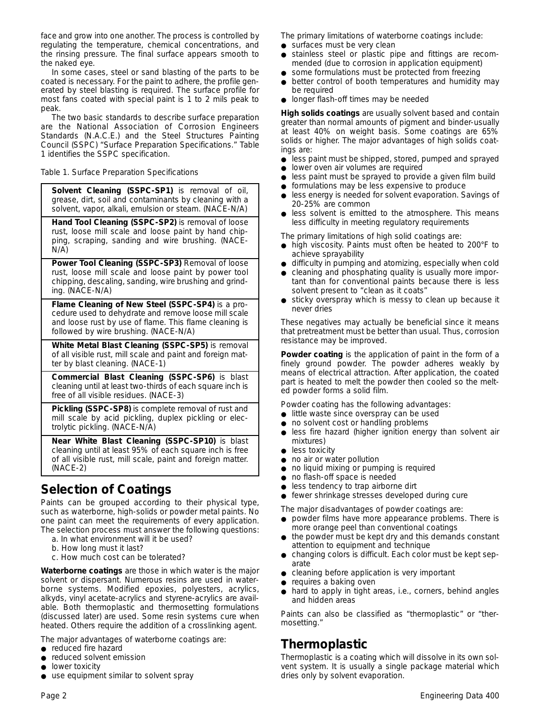face and grow into one another. The process is controlled by regulating the temperature, chemical concentrations, and the rinsing pressure. The final surface appears smooth to the naked eye.

In some cases, steel or sand blasting of the parts to be coated is necessary. For the paint to adhere, the profile generated by steel blasting is required. The surface profile for most fans coated with special paint is 1 to 2 mils peak to peak.

The two basic standards to describe surface preparation are the National Association of Corrosion Engineers Standards (N.A.C.E.) and the Steel Structures Painting Council (SSPC) "Surface Preparation Specifications." Table 1 identifies the SSPC specification.

*Table 1. Surface Preparation Specifications*

**Solvent Cleaning (SSPC-SP1)** is removal of oil, grease, dirt, soil and contaminants by cleaning with a solvent, vapor, alkali, emulsion or steam. (NACE-N/A)

**Hand Tool Cleaning (SSPC-SP2)** is removal of loose rust, loose mill scale and loose paint by hand chipping, scraping, sanding and wire brushing. (NACE-N/A)

**Power Tool Cleaning (SSPC-SP3)** Removal of loose rust, loose mill scale and loose paint by power tool chipping, descaling, sanding, wire brushing and grinding. (NACE-N/A)

**Flame Cleaning of New Steel (SSPC-SP4)** is a procedure used to dehydrate and remove loose mill scale and loose rust by use of flame. This flame cleaning is followed by wire brushing. (NACE-N/A)

**White Metal Blast Cleaning (SSPC-SP5)** is removal of all visible rust, mill scale and paint and foreign matter by blast cleaning. (NACE-1)

**Commercial Blast Cleaning (SSPC-SP6)** is blast cleaning until at least two-thirds of each square inch is free of all visible residues. (NACE-3)

**Pickling (SSPC-SP8)** is complete removal of rust and mill scale by acid pickling, duplex pickling or electrolytic pickling. (NACE-N/A)

**Near White Blast Cleaning (SSPC-SP10)** is blast cleaning until at least 95% of each square inch is free of all visible rust, mill scale, paint and foreign matter. (NACE-2)

## **Selection of Coatings**

Paints can be grouped according to their physical type, such as waterborne, high-solids or powder metal paints. No one paint can meet the requirements of every application.

- The selection process must answer the following questions: a. In what environment will it be used?
	- b. How long must it last?
	- c. How much cost can be tolerated?

**Waterborne coatings** are those in which water is the major solvent or dispersant. Numerous resins are used in waterborne systems. Modified epoxies, polyesters, acrylics, alkyds, vinyl acetate-acrylics and styrene-acrylics are available. Both thermoplastic and thermosetting formulations (discussed later) are used. Some resin systems cure when heated. Others require the addition of a crosslinking agent.

The major advantages of waterborne coatings are:

- reduced fire hazard
- reduced solvent emission
- lower toxicity
- use equipment similar to solvent spray

The primary limitations of waterborne coatings include:

- surfaces must be very clean
- stainless steel or plastic pipe and fittings are recommended (due to corrosion in application equipment)
- some formulations must be protected from freezing
- better control of booth temperatures and humidity may be required
- longer flash-off times may be needed

**High solids coatings** are usually solvent based and contain greater than normal amounts of pigment and binder-usually at least 40% on weight basis. Some coatings are 65% solids or higher. The major advantages of high solids coatings are:

- less paint must be shipped, stored, pumped and sprayed
- lower oven air volumes are required
- less paint must be sprayed to provide a given film build
- formulations may be less expensive to produce
- less energy is needed for solvent evaporation. Savings of 20-25% are common
- less solvent is emitted to the atmosphere. This means less difficulty in meeting regulatory requirements

The primary limitations of high solid coatings are:

- high viscosity. Paints must often be heated to 200°F to achieve sprayability
- difficulty in pumping and atomizing, especially when cold
- cleaning and phosphating quality is usually more important than for conventional paints because there is less solvent present to "clean as it coats"
- sticky overspray which is messy to clean up because it never dries

These negatives may actually be beneficial since it means that pretreatment must be better than usual. Thus, corrosion resistance may be improved.

**Powder coating** is the application of paint in the form of a finely ground powder. The powder adheres weakly by means of electrical attraction. After application, the coated part is heated to melt the powder then cooled so the melted powder forms a solid film.

Powder coating has the following advantages:

- little waste since overspray can be used
- no solvent cost or handling problems
- less fire hazard (higher ignition energy than solvent air mixtures)
- less toxicity
- no air or water pollution
- no liquid mixing or pumping is required
- no flash-off space is needed
- less tendency to trap airborne dirt
- fewer shrinkage stresses developed during cure

The major disadvantages of powder coatings are:

- powder films have more appearance problems. There is more orange peel than conventional coatings
- the powder must be kept dry and this demands constant attention to equipment and technique
- changing colors is difficult. Each color must be kept separate
- cleaning before application is very important
- requires a baking oven
- hard to apply in tight areas, i.e., corners, behind angles and hidden areas

Paints can also be classified as "thermoplastic" or "thermosetting."

#### **Thermoplastic**

Thermoplastic is a coating which will dissolve in its own solvent system. It is usually a single package material which dries only by solvent evaporation.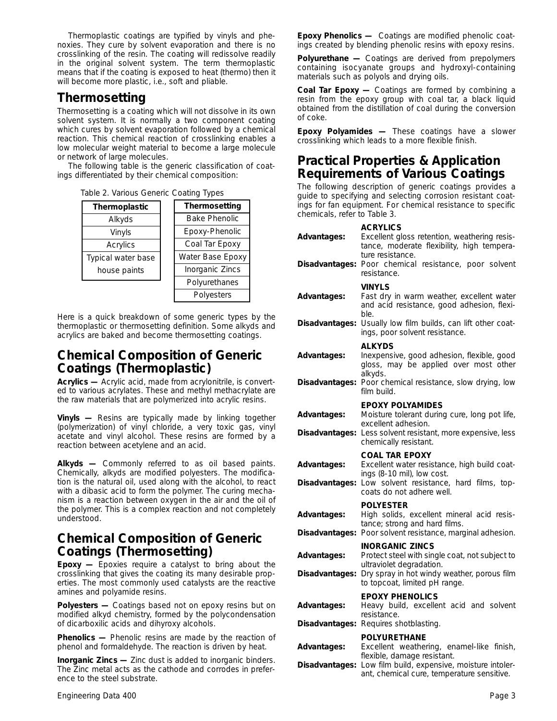Thermoplastic coatings are typified by vinyls and phenoxies. They cure by solvent evaporation and there is no crosslinking of the resin. The coating will redissolve readily in the original solvent system. The term thermoplastic means that if the coating is exposed to heat (thermo) then it will become more plastic, i.e., soft and pliable.

### **Thermosetting**

Thermosetting is a coating which will not dissolve in its own solvent system. It is normally a two component coating which cures by solvent evaporation followed by a chemical reaction. This chemical reaction of crosslinking enables a low molecular weight material to become a large molecule or network of large molecules.

The following table is the generic classification of coatings differentiated by their chemical composition:

|  |  | Table 2. Various Generic Coating Types |  |  |
|--|--|----------------------------------------|--|--|
|--|--|----------------------------------------|--|--|

| Thermoplastic      | Thermosetting        |
|--------------------|----------------------|
| Alkyds             | <b>Bake Phenolic</b> |
| Vinyls             | Epoxy-Phenolic       |
| Acrylics           | Coal Tar Epoxy       |
| Typical water base | Water Base Epoxy     |
| house paints       | Inorganic Zincs      |
|                    | Polyurethanes        |
|                    | Polyesters           |

Here is a quick breakdown of some generic types by the thermoplastic or thermosetting definition. Some alkyds and acrylics are baked and become thermosetting coatings.

#### **Chemical Composition of Generic Coatings (Thermoplastic)**

**Acrylics —** Acrylic acid, made from acrylonitrile, is converted to various acrylates. These and methyl methacrylate are the raw materials that are polymerized into acrylic resins.

**Vinyls —** Resins are typically made by linking together (polymerization) of vinyl chloride, a very toxic gas, vinyl acetate and vinyl alcohol. These resins are formed by a reaction between acetylene and an acid.

**Alkyds —** Commonly referred to as oil based paints. Chemically, alkyds are modified polyesters. The modification is the natural oil, used along with the alcohol, to react with a dibasic acid to form the polymer. The curing mechanism is a reaction between oxygen in the air and the oil of the polymer. This is a complex reaction and not completely understood.

#### **Chemical Composition of Generic Coatings (Thermosetting)**

**Epoxy —** Epoxies require a catalyst to bring about the crosslinking that gives the coating its many desirable properties. The most commonly used catalysts are the reactive amines and polyamide resins.

**Polyesters —** Coatings based not on epoxy resins but on modified alkyd chemistry, formed by the polycondensation of dicarboxilic acids and dihyroxy alcohols.

**Phenolics —** Phenolic resins are made by the reaction of phenol and formaldehyde. The reaction is driven by heat.

**Inorganic Zincs —** Zinc dust is added to inorganic binders. The Zinc metal acts as the cathode and corrodes in preference to the steel substrate.

**Epoxy Phenolics —** Coatings are modified phenolic coatings created by blending phenolic resins with epoxy resins.

**Polyurethane —** Coatings are derived from prepolymers containing isocyanate groups and hydroxyl-containing materials such as polyols and drying oils.

**Coal Tar Epoxy —** Coatings are formed by combining a resin from the epoxy group with coal tar, a black liquid obtained from the distillation of coal during the conversion of coke.

**Epoxy Polyamides —** These coatings have a slower crosslinking which leads to a more flexible finish.

#### **Practical Properties & Application Requirements of Various Coatings**

The following description of generic coatings provides a guide to specifying and selecting corrosion resistant coatings for fan equipment. For chemical resistance to specific chemicals, refer to Table 3.

| Advantages:                   | <b>ACRYLICS</b><br>Excellent gloss retention, weathering resis-<br>tance, moderate flexibility, high tempera-<br>ture resistance.<br>Disadvantages: Poor chemical resistance, poor solvent<br>resistance. |
|-------------------------------|-----------------------------------------------------------------------------------------------------------------------------------------------------------------------------------------------------------|
| Advantages:                   | <b>VINYLS</b><br>Fast dry in warm weather, excellent water<br>and acid resistance, good adhesion, flexi-<br>ble.                                                                                          |
|                               | Disadvantages: Usually low film builds, can lift other coat-<br>ings, poor solvent resistance.                                                                                                            |
| Advantages:                   | <b>ALKYDS</b><br>Inexpensive, good adhesion, flexible, good<br>gloss, may be applied over most other<br>alkyds.                                                                                           |
| Disadvantages:                | Poor chemical resistance, slow drying, low<br>film build.                                                                                                                                                 |
| Advantages:                   | <b>EPOXY POLYAMIDES</b><br>Moisture tolerant during cure, long pot life,<br>excellent adhesion.<br>Disadvantages: Less solvent resistant, more expensive, less<br>chemically resistant.                   |
| Advantages:<br>Disadvantages: | <b>COAL TAR EPOXY</b><br>Excellent water resistance, high build coat-<br>ings (8-10 mil), low cost.<br>Low solvent resistance, hard films, top-                                                           |
|                               | coats do not adhere well.                                                                                                                                                                                 |
| Advantages:<br>Disadvantages: | <b>POLYESTER</b><br>High solids, excellent mineral acid resis-<br>tance; strong and hard films.<br>Poor solvent resistance, marginal adhesion.                                                            |
| Advantages:<br>Disadvantages: | <b>INORGANIC ZINCS</b><br>Protect steel with single coat, not subject to<br>ultraviolet degradation.<br>Dry spray in hot windy weather, porous film<br>to topcoat, limited pH range.                      |
| Advantages:<br>Disadvantages: | <b>EPOXY PHENOLICS</b><br>Heavy build, excellent acid and solvent<br>resistance.<br>Requires shotblasting.                                                                                                |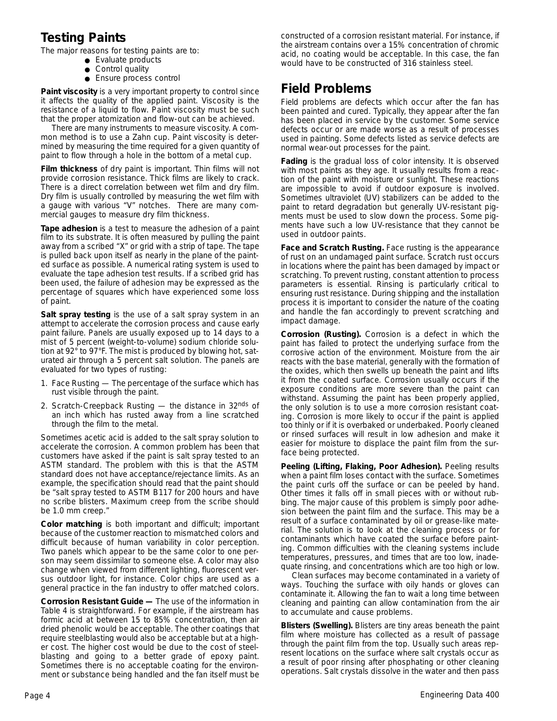## **Testing Paints**

The major reasons for testing paints are to:

- Evaluate products
- Control quality
- Ensure process control

**Paint viscosity** is a very important property to control since it affects the quality of the applied paint. Viscosity is the resistance of a liquid to flow. Paint viscosity must be such that the proper atomization and flow-out can be achieved.

There are many instruments to measure viscosity. A common method is to use a Zahn cup. Paint viscosity is determined by measuring the time required for a given quantity of paint to flow through a hole in the bottom of a metal cup.

**Film thickness** of dry paint is important. Thin films will not provide corrosion resistance. Thick films are likely to crack. There is a direct correlation between wet film and dry film. Dry film is usually controlled by measuring the wet film with a gauge with various "V" notches. There are many commercial gauges to measure dry film thickness.

**Tape adhesion** is a test to measure the adhesion of a paint film to its substrate. It is often measured by pulling the paint away from a scribed "X" or grid with a strip of tape. The tape is pulled back upon itself as nearly in the plane of the painted surface as possible. A numerical rating system is used to evaluate the tape adhesion test results. If a scribed grid has been used, the failure of adhesion may be expressed as the percentage of squares which have experienced some loss of paint.

**Salt spray testing** is the use of a salt spray system in an attempt to accelerate the corrosion process and cause early paint failure. Panels are usually exposed up to 14 days to a mist of 5 percent (weight-to-volume) sodium chloride solution at 92° to 97°F. The mist is produced by blowing hot, saturated air through a 5 percent salt solution. The panels are evaluated for two types of rusting:

- 1. Face Rusting The percentage of the surface which has rust visible through the paint.
- 2. Scratch-Creepback Rusting the distance in 32nds of an inch which has rusted away from a line scratched through the film to the metal.

Sometimes acetic acid is added to the salt spray solution to accelerate the corrosion. A common problem has been that customers have asked if the paint is salt spray tested to an ASTM standard. The problem with this is that the ASTM standard does not have acceptance/rejectance limits. As an example, the specification should read that the paint should be "salt spray tested to ASTM B117 for 200 hours and have no scribe blisters. Maximum creep from the scribe should be 1.0 mm creep."

**Color matching** is both important and difficult; important because of the customer reaction to mismatched colors and difficult because of human variability in color perception. Two panels which appear to be the same color to one person may seem dissimilar to someone else. A color may also change when viewed from different lighting, fluorescent versus outdoor light, for instance. Color chips are used as a general practice in the fan industry to offer matched colors.

**Corrosion Resistant Guide —** The use of the information in Table 4 is straightforward. For example, if the airstream has formic acid at between 15 to 85% concentration, then air dried phenolic would be acceptable. The other coatings that require steelblasting would also be acceptable but at a higher cost. The higher cost would be due to the cost of steelblasting and going to a better grade of epoxy paint. Sometimes there is no acceptable coating for the environment or substance being handled and the fan itself must be

constructed of a corrosion resistant material. For instance, if the airstream contains over a 15% concentration of chromic acid, no coating would be acceptable. In this case, the fan would have to be constructed of 316 stainless steel.

# **Field Problems**

Field problems are defects which occur after the fan has been painted and cured. Typically, they appear after the fan has been placed in service by the customer. Some service defects occur or are made worse as a result of processes used in painting. Some defects listed as service defects are normal wear-out processes for the paint.

**Fading** is the gradual loss of color intensity. It is observed with most paints as they age. It usually results from a reaction of the paint with moisture or sunlight. These reactions are impossible to avoid if outdoor exposure is involved. Sometimes ultraviolet (UV) stabilizers can be added to the paint to retard degradation but generally UV-resistant pigments must be used to slow down the process. Some pigments have such a low UV-resistance that they cannot be used in outdoor paints.

**Face and Scratch Rusting.** Face rusting is the appearance of rust on an undamaged paint surface. Scratch rust occurs in locations where the paint has been damaged by impact or scratching. To prevent rusting, constant attention to process parameters is essential. Rinsing is particularly critical to ensuring rust resistance. During shipping and the installation process it is important to consider the nature of the coating and handle the fan accordingly to prevent scratching and impact damage.

**Corrosion (Rusting).** Corrosion is a defect in which the paint has failed to protect the underlying surface from the corrosive action of the environment. Moisture from the air reacts with the base material, generally with the formation of the oxides, which then swells up beneath the paint and lifts it from the coated surface. Corrosion usually occurs if the exposure conditions are more severe than the paint can withstand. Assuming the paint has been properly applied, the only solution is to use a more corrosion resistant coating. Corrosion is more likely to occur if the paint is applied too thinly or if it is overbaked or underbaked. Poorly cleaned or rinsed surfaces will result in low adhesion and make it easier for moisture to displace the paint film from the surface being protected.

**Peeling (Lifting, Flaking, Poor Adhesion).** Peeling results when a paint film loses contact with the surface. Sometimes the paint curls off the surface or can be peeled by hand. Other times it falls off in small pieces with or without rubbing. The major cause of this problem is simply poor adhesion between the paint film and the surface. This may be a result of a surface contaminated by oil or grease-like material. The solution is to look at the cleaning process or for contaminants which have coated the surface before painting. Common difficulties with the cleaning systems include temperatures, pressures, and times that are too low, inadequate rinsing, and concentrations which are too high or low.

Clean surfaces may become contaminated in a variety of ways. Touching the surface with oily hands or gloves can contaminate it. Allowing the fan to wait a long time between cleaning and painting can allow contamination from the air to accumulate and cause problems.

**Blisters (Swelling).** Blisters are tiny areas beneath the paint film where moisture has collected as a result of passage through the paint film from the top. Usually such areas represent locations on the surface where salt crystals occur as a result of poor rinsing after phosphating or other cleaning operations. Salt crystals dissolve in the water and then pass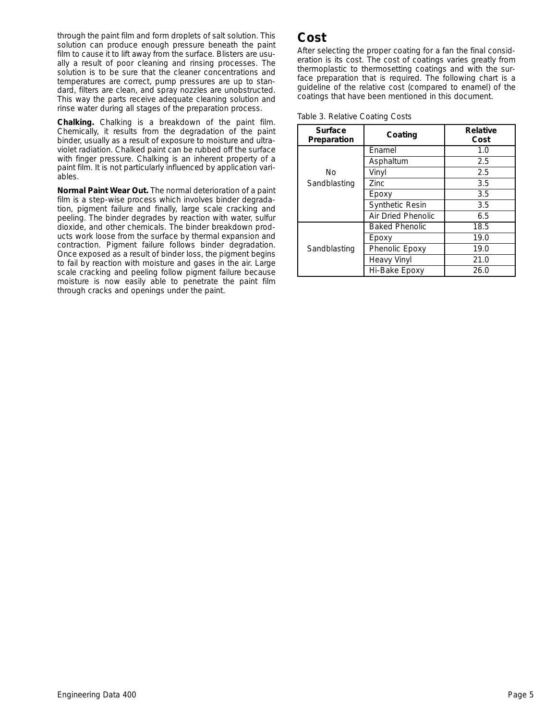through the paint film and form droplets of salt solution. This solution can produce enough pressure beneath the paint film to cause it to lift away from the surface. Blisters are usually a result of poor cleaning and rinsing processes. The solution is to be sure that the cleaner concentrations and temperatures are correct, pump pressures are up to standard, filters are clean, and spray nozzles are unobstructed. This way the parts receive adequate cleaning solution and rinse water during all stages of the preparation process.

**Chalking.** Chalking is a breakdown of the paint film. Chemically, it results from the degradation of the paint binder, usually as a result of exposure to moisture and ultraviolet radiation. Chalked paint can be rubbed off the surface with finger pressure. Chalking is an inherent property of a paint film. It is not particularly influenced by application variables.

**Normal Paint Wear Out.** The normal deterioration of a paint film is a step-wise process which involves binder degradation, pigment failure and finally, large scale cracking and peeling. The binder degrades by reaction with water, sulfur dioxide, and other chemicals. The binder breakdown products work loose from the surface by thermal expansion and contraction. Pigment failure follows binder degradation. Once exposed as a result of binder loss, the pigment begins to fail by reaction with moisture and gases in the air. Large scale cracking and peeling follow pigment failure because moisture is now easily able to penetrate the paint film through cracks and openings under the paint.

#### **Cost**

After selecting the proper coating for a fan the final consideration is its cost. The cost of coatings varies greatly from thermoplastic to thermosetting coatings and with the surface preparation that is required. The following chart is a guideline of the relative cost (compared to enamel) of the coatings that have been mentioned in this document.

| Table 3. Relative Coating Costs |
|---------------------------------|
|---------------------------------|

| Surface<br>Preparation | Coating                | <b>Relative</b><br>Cost |
|------------------------|------------------------|-------------------------|
|                        | Enamel                 | 1.0                     |
|                        | Asphaltum              | 2.5                     |
| Nο                     | Vinyl                  | 2.5                     |
| Sandblasting           | Zinc.                  | 3.5                     |
|                        | Epoxy                  | 3.5                     |
|                        | <b>Synthetic Resin</b> | 3.5                     |
|                        | Air Dried Phenolic     | 6.5                     |
|                        | <b>Baked Phenolic</b>  | 18.5                    |
|                        | Epoxy                  | 19.0                    |
| Sandblasting           | Phenolic Epoxy         | 19.0                    |
|                        | <b>Heavy Vinyl</b>     | 21.0                    |
|                        | Hi-Bake Epoxy          | 26.0                    |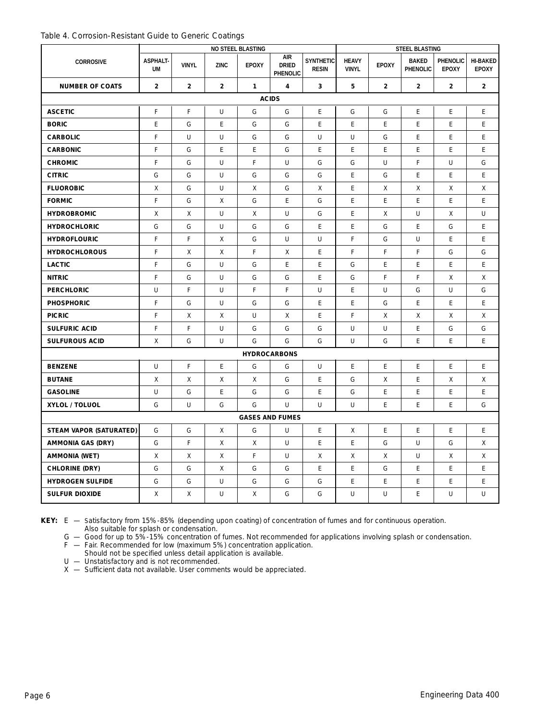| Table 4. Corrosion-Resistant Guide to Generic Coatings |  |  |
|--------------------------------------------------------|--|--|
|--------------------------------------------------------|--|--|

|                                | NO STEEL BLASTING            |                |                |              |                                        |                                  |                              | <b>STEEL BLASTING</b> |                          |                          |                                 |  |
|--------------------------------|------------------------------|----------------|----------------|--------------|----------------------------------------|----------------------------------|------------------------------|-----------------------|--------------------------|--------------------------|---------------------------------|--|
| <b>CORROSIVE</b>               | <b>ASPHALT-</b><br><b>UM</b> | <b>VINYL</b>   | <b>ZINC</b>    | <b>EPOXY</b> | <b>AIR</b><br><b>DRIED</b><br>PHENOLIC | <b>SYNTHETIC</b><br><b>RESIN</b> | <b>HEAVY</b><br><b>VINYL</b> | <b>EPOXY</b>          | <b>BAKED</b><br>PHENOLIC | PHENOLIC<br><b>EPOXY</b> | <b>HI-BAKED</b><br><b>EPOXY</b> |  |
| <b>NUMBER OF COATS</b>         | $\overline{2}$               | $\overline{2}$ | $\overline{2}$ | $\mathbf{1}$ | $\overline{\mathbf{4}}$                | 3                                | 5                            | $\overline{2}$        | $\overline{2}$           | $\overline{2}$           | $\overline{2}$                  |  |
|                                | <b>ACIDS</b>                 |                |                |              |                                        |                                  |                              |                       |                          |                          |                                 |  |
| <b>ASCETIC</b>                 | F                            | F              | U              | G            | G                                      | E                                | G                            | G                     | E                        | E                        | E.                              |  |
| <b>BORIC</b>                   | E                            | G              | E              | G            | G                                      | E                                | E                            | E                     | E                        | E                        | E                               |  |
| <b>CARBOLIC</b>                | F                            | U              | U              | G            | G                                      | U                                | U                            | G                     | E                        | E                        | E.                              |  |
| <b>CARBONIC</b>                | F                            | G              | E              | E            | G                                      | E                                | E                            | E.                    | Е                        | E                        | E                               |  |
| <b>CHROMIC</b>                 | F                            | G              | U              | F            | U                                      | G                                | G                            | U                     | F                        | U                        | G                               |  |
| <b>CITRIC</b>                  | G                            | G              | U              | G            | G                                      | G                                | E                            | G                     | E                        | E                        | E                               |  |
| <b>FLUOROBIC</b>               | X                            | G              | U              | Χ            | G                                      | X                                | E                            | X                     | X                        | X                        | X                               |  |
| <b>FORMIC</b>                  | F                            | G              | X              | G            | E                                      | G                                | E                            | E                     | E                        | E                        | E                               |  |
| <b>HYDROBROMIC</b>             | X                            | X              | U              | X            | U                                      | G                                | E                            | X                     | U                        | Χ                        | U                               |  |
| <b>HYDROCHLORIC</b>            | G                            | G              | U              | G            | G                                      | E                                | E                            | G                     | E                        | G                        | E                               |  |
| <b>HYDROFLOURIC</b>            | F                            | F              | Χ              | G            | U                                      | U                                | F                            | G                     | U                        | Ε                        | E.                              |  |
| <b>HYDROCHLOROUS</b>           | F                            | Χ              | X              | F            | X                                      | E                                | F                            | F                     | F                        | G                        | G                               |  |
| <b>LACTIC</b>                  | F                            | G              | U              | G            | E                                      | E                                | G                            | E                     | E                        | E                        | E                               |  |
| <b>NITRIC</b>                  | F                            | G              | U              | G            | G                                      | E                                | G                            | F                     | F                        | X                        | X                               |  |
| <b>PERCHLORIC</b>              | U                            | F              | U              | F            | F                                      | U                                | E                            | U                     | G                        | U                        | G                               |  |
| <b>PHOSPHORIC</b>              | F                            | G              | U              | G            | G                                      | E                                | E                            | G                     | E                        | E                        | E                               |  |
| <b>PICRIC</b>                  | F                            | X              | X              | U            | X                                      | E                                | F                            | X                     | Χ                        | X                        | X                               |  |
| <b>SULFURIC ACID</b>           | F                            | F              | U              | G            | G                                      | G                                | U                            | U                     | E                        | G                        | G                               |  |
| <b>SULFUROUS ACID</b>          | X                            | G              | U              | G            | G                                      | G                                | U                            | G                     | E                        | E                        | E.                              |  |
|                                |                              |                |                |              | <b>HYDROCARBONS</b>                    |                                  |                              |                       |                          |                          |                                 |  |
| <b>BENZENE</b>                 | U                            | F              | E              | G            | G                                      | U                                | E                            | E                     | E                        | E                        | E                               |  |
| <b>BUTANE</b>                  | X                            | X              | Χ              | X            | G                                      | E                                | G                            | X                     | Е                        | X                        | X                               |  |
| <b>GASOLINE</b>                | U                            | G              | E              | G            | G                                      | E                                | G                            | E                     | E                        | E                        | E                               |  |
| XYLOL / TOLUOL                 | G                            | U              | G              | G            | U                                      | U                                | U                            | E                     | E                        | E                        | G                               |  |
| <b>GASES AND FUMES</b>         |                              |                |                |              |                                        |                                  |                              |                       |                          |                          |                                 |  |
| <b>STEAM VAPOR (SATURATED)</b> | G                            | G              | Χ              | G            | U                                      | Е                                | X                            | E                     | E                        | E                        | E.                              |  |
| <b>AMMONIA GAS (DRY)</b>       | G                            | F              | X              | X            | U                                      | E                                | E                            | G                     | U                        | G                        | X                               |  |
| <b>AMMONIA (WET)</b>           | X                            | X              | X              | F            | U                                      | X                                | X                            | X                     | U                        | X                        | X                               |  |
| <b>CHLORINE (DRY)</b>          | G                            | G              | Χ              | G            | G                                      | E                                | E                            | G                     | Е                        | E                        | E                               |  |
| <b>HYDROGEN SULFIDE</b>        | G                            | G              | U              | G            | G                                      | G                                | E                            | E                     | E                        | E                        | E                               |  |
| <b>SULFUR DIOXIDE</b>          | X                            | X              | U              | X            | G                                      | G                                | U                            | U                     | E                        | U                        | U                               |  |

**KEY:** E — Satisfactory from 15%-85% (depending upon coating) of concentration of fumes and for continuous operation. Also suitable for splash or condensation.

G — Good for up to 5%-15% concentration of fumes. Not recommended for applications involving splash or condensation.

F — Fair. Recommended for low (maximum 5%) concentration application.

Should not be specified unless detail application is available.

U — Unstatisfactory and is not recommended.

X — Sufficient data not available. User comments would be appreciated.